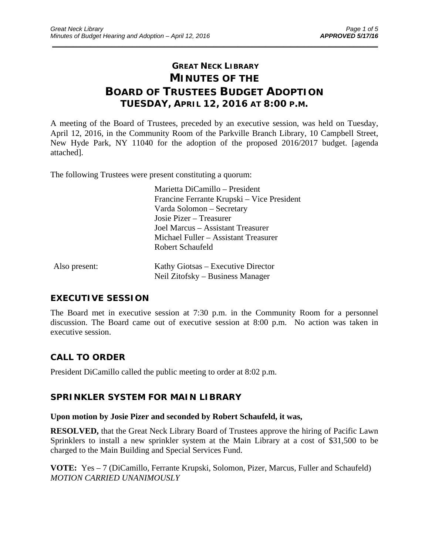# **GREAT NECK LIBRARY MINUTES OF THE BOARD OF TRUSTEES BUDGET ADOPTION TUESDAY, APRIL 12, 2016 AT 8:00 P.M.**

\_\_\_\_\_\_\_\_\_\_\_\_\_\_\_\_\_\_\_\_\_\_\_\_\_\_\_\_\_\_\_\_\_\_\_\_\_\_\_\_\_\_\_\_\_\_\_\_\_\_\_\_\_\_\_\_\_\_\_\_\_\_\_\_\_\_\_\_\_\_\_\_\_\_\_\_\_\_\_\_\_\_\_\_\_\_\_\_\_\_\_\_\_

A meeting of the Board of Trustees, preceded by an executive session, was held on Tuesday, April 12, 2016, in the Community Room of the Parkville Branch Library, 10 Campbell Street, New Hyde Park, NY 11040 for the adoption of the proposed 2016/2017 budget. [agenda attached].

The following Trustees were present constituting a quorum:

 Marietta DiCamillo – President Francine Ferrante Krupski – Vice President Varda Solomon – Secretary Josie Pizer – Treasurer Joel Marcus – Assistant Treasurer Michael Fuller – Assistant Treasurer Robert Schaufeld

| Also present: | Kathy Giotsas – Executive Director |
|---------------|------------------------------------|
|               | Neil Zitofsky – Business Manager   |

# **EXECUTIVE SESSION**

The Board met in executive session at 7:30 p.m. in the Community Room for a personnel discussion. The Board came out of executive session at 8:00 p.m. No action was taken in executive session.

# **CALL TO ORDER**

President DiCamillo called the public meeting to order at 8:02 p.m.

### **SPRINKLER SYSTEM FOR MAIN LIBRARY**

### **Upon motion by Josie Pizer and seconded by Robert Schaufeld, it was,**

**RESOLVED,** that the Great Neck Library Board of Trustees approve the hiring of Pacific Lawn Sprinklers to install a new sprinkler system at the Main Library at a cost of \$31,500 to be charged to the Main Building and Special Services Fund.

**VOTE:** Yes – 7 (DiCamillo, Ferrante Krupski, Solomon, Pizer, Marcus, Fuller and Schaufeld) *MOTION CARRIED UNANIMOUSLY*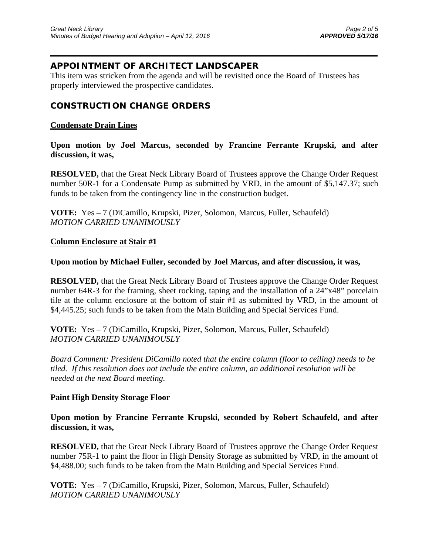### **APPOINTMENT OF ARCHITECT LANDSCAPER**

This item was stricken from the agenda and will be revisited once the Board of Trustees has properly interviewed the prospective candidates.

 $\overline{\phantom{a}}$  , and the contract of the contract of the contract of the contract of the contract of the contract of the contract of the contract of the contract of the contract of the contract of the contract of the contrac

### **CONSTRUCTION CHANGE ORDERS**

### **Condensate Drain Lines**

**Upon motion by Joel Marcus, seconded by Francine Ferrante Krupski, and after discussion, it was,** 

**RESOLVED,** that the Great Neck Library Board of Trustees approve the Change Order Request number 50R-1 for a Condensate Pump as submitted by VRD, in the amount of \$5,147.37; such funds to be taken from the contingency line in the construction budget.

**VOTE:** Yes – 7 (DiCamillo, Krupski, Pizer, Solomon, Marcus, Fuller, Schaufeld) *MOTION CARRIED UNANIMOUSLY* 

### **Column Enclosure at Stair #1**

### **Upon motion by Michael Fuller, seconded by Joel Marcus, and after discussion, it was,**

**RESOLVED,** that the Great Neck Library Board of Trustees approve the Change Order Request number 64R-3 for the framing, sheet rocking, taping and the installation of a 24"x48" porcelain tile at the column enclosure at the bottom of stair #1 as submitted by VRD, in the amount of \$4,445.25; such funds to be taken from the Main Building and Special Services Fund.

**VOTE:** Yes – 7 (DiCamillo, Krupski, Pizer, Solomon, Marcus, Fuller, Schaufeld) *MOTION CARRIED UNANIMOUSLY* 

*Board Comment: President DiCamillo noted that the entire column (floor to ceiling) needs to be tiled. If this resolution does not include the entire column, an additional resolution will be needed at the next Board meeting.* 

### **Paint High Density Storage Floor**

**Upon motion by Francine Ferrante Krupski, seconded by Robert Schaufeld, and after discussion, it was,** 

**RESOLVED,** that the Great Neck Library Board of Trustees approve the Change Order Request number 75R-1 to paint the floor in High Density Storage as submitted by VRD, in the amount of \$4,488.00; such funds to be taken from the Main Building and Special Services Fund.

**VOTE:** Yes – 7 (DiCamillo, Krupski, Pizer, Solomon, Marcus, Fuller, Schaufeld) *MOTION CARRIED UNANIMOUSLY*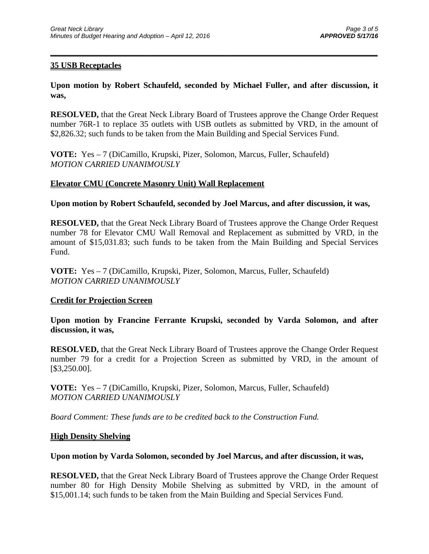### **35 USB Receptacles**

**Upon motion by Robert Schaufeld, seconded by Michael Fuller, and after discussion, it was,** 

 $\overline{\phantom{a}}$  , and the contract of the contract of the contract of the contract of the contract of the contract of the contract of the contract of the contract of the contract of the contract of the contract of the contrac

**RESOLVED,** that the Great Neck Library Board of Trustees approve the Change Order Request number 76R-1 to replace 35 outlets with USB outlets as submitted by VRD, in the amount of \$2,826.32; such funds to be taken from the Main Building and Special Services Fund.

**VOTE:** Yes – 7 (DiCamillo, Krupski, Pizer, Solomon, Marcus, Fuller, Schaufeld) *MOTION CARRIED UNANIMOUSLY* 

### **Elevator CMU (Concrete Masonry Unit) Wall Replacement**

**Upon motion by Robert Schaufeld, seconded by Joel Marcus, and after discussion, it was,** 

**RESOLVED,** that the Great Neck Library Board of Trustees approve the Change Order Request number 78 for Elevator CMU Wall Removal and Replacement as submitted by VRD, in the amount of \$15,031.83; such funds to be taken from the Main Building and Special Services Fund.

**VOTE:** Yes – 7 (DiCamillo, Krupski, Pizer, Solomon, Marcus, Fuller, Schaufeld) *MOTION CARRIED UNANIMOUSLY* 

### **Credit for Projection Screen**

**Upon motion by Francine Ferrante Krupski, seconded by Varda Solomon, and after discussion, it was,** 

**RESOLVED,** that the Great Neck Library Board of Trustees approve the Change Order Request number 79 for a credit for a Projection Screen as submitted by VRD, in the amount of [\$3,250.00].

**VOTE:** Yes – 7 (DiCamillo, Krupski, Pizer, Solomon, Marcus, Fuller, Schaufeld) *MOTION CARRIED UNANIMOUSLY* 

*Board Comment: These funds are to be credited back to the Construction Fund.*

#### **High Density Shelving**

#### **Upon motion by Varda Solomon, seconded by Joel Marcus, and after discussion, it was,**

**RESOLVED,** that the Great Neck Library Board of Trustees approve the Change Order Request number 80 for High Density Mobile Shelving as submitted by VRD, in the amount of \$15,001.14; such funds to be taken from the Main Building and Special Services Fund.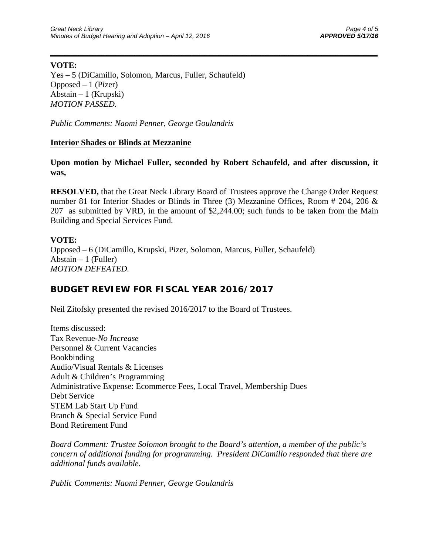### **VOTE:**

Yes – 5 (DiCamillo, Solomon, Marcus, Fuller, Schaufeld) Opposed  $-1$  (Pizer) Abstain – 1 (Krupski) *MOTION PASSED.* 

*Public Comments: Naomi Penner, George Goulandris* 

### **Interior Shades or Blinds at Mezzanine**

**Upon motion by Michael Fuller, seconded by Robert Schaufeld, and after discussion, it was,** 

 $\overline{\phantom{a}}$  , and the contract of the contract of the contract of the contract of the contract of the contract of the contract of the contract of the contract of the contract of the contract of the contract of the contrac

**RESOLVED,** that the Great Neck Library Board of Trustees approve the Change Order Request number 81 for Interior Shades or Blinds in Three (3) Mezzanine Offices, Room # 204, 206 & 207 as submitted by VRD, in the amount of \$2,244.00; such funds to be taken from the Main Building and Special Services Fund.

### **VOTE:**

Opposed – 6 (DiCamillo, Krupski, Pizer, Solomon, Marcus, Fuller, Schaufeld) Abstain  $-1$  (Fuller) *MOTION DEFEATED.* 

# **BUDGET REVIEW FOR FISCAL YEAR 2016/2017**

Neil Zitofsky presented the revised 2016/2017 to the Board of Trustees.

Items discussed: Tax Revenue-*No Increase*  Personnel & Current Vacancies Bookbinding Audio/Visual Rentals & Licenses Adult & Children's Programming Administrative Expense: Ecommerce Fees, Local Travel, Membership Dues Debt Service STEM Lab Start Up Fund Branch & Special Service Fund Bond Retirement Fund

*Board Comment: Trustee Solomon brought to the Board's attention, a member of the public's concern of additional funding for programming. President DiCamillo responded that there are additional funds available.* 

*Public Comments: Naomi Penner, George Goulandris*